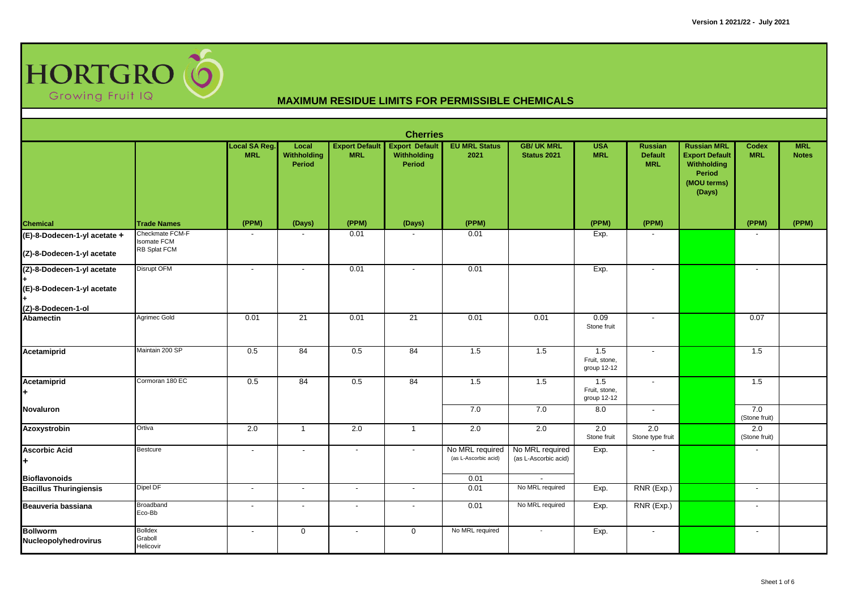

|                                                                                |                                                              |                             |                                |                                     | <b>Cherries</b>                                       |                                         |                                         |                                     |                                                |                                                                                               |                            |                            |
|--------------------------------------------------------------------------------|--------------------------------------------------------------|-----------------------------|--------------------------------|-------------------------------------|-------------------------------------------------------|-----------------------------------------|-----------------------------------------|-------------------------------------|------------------------------------------------|-----------------------------------------------------------------------------------------------|----------------------------|----------------------------|
|                                                                                |                                                              | Local SA Reg.<br><b>MRL</b> | Local<br>Withholding<br>Period | <b>Export Default</b><br><b>MRL</b> | <b>Export Default</b><br>Withholding<br><b>Period</b> | <b>EU MRL Status</b><br>2021            | <b>GB/ UK MRL</b><br>Status 2021        | <b>USA</b><br><b>MRL</b>            | <b>Russian</b><br><b>Default</b><br><b>MRL</b> | <b>Russian MRL</b><br><b>Export Default</b><br>Withholding<br>Period<br>(MOU terms)<br>(Days) | <b>Codex</b><br><b>MRL</b> | <b>MRL</b><br><b>Notes</b> |
| <b>Chemical</b>                                                                | <b>Trade Names</b>                                           | (PPM)                       | (Days)                         | (PPM)                               | (Days)                                                | (PPM)                                   |                                         | (PPM)                               | (PPM)                                          |                                                                                               | (PPM)                      | (PPM)                      |
| (E)-8-Dodecen-1-yl acetate +<br>(Z)-8-Dodecen-1-yl acetate                     | Checkmate FCM-F<br><b>Isomate FCM</b><br><b>RB Splat FCM</b> | $\overline{\phantom{a}}$    |                                | 0.01                                |                                                       | 0.01                                    |                                         | Exp.                                | $\overline{\phantom{a}}$                       |                                                                                               | $\sim$                     |                            |
| (Z)-8-Dodecen-1-yl acetate<br>(E)-8-Dodecen-1-yl acetate<br>(Z)-8-Dodecen-1-ol | Disrupt OFM                                                  | $\overline{\phantom{a}}$    | $\overline{\phantom{a}}$       | 0.01                                | $\sim$                                                | 0.01                                    |                                         | Exp.                                | $\mathbf{r}$                                   |                                                                                               | $\sim$                     |                            |
| <b>Abamectin</b>                                                               | Agrimec Gold                                                 | 0.01                        | 21                             | 0.01                                | 21                                                    | 0.01                                    | 0.01                                    | 0.09<br>Stone fruit                 | $\overline{\phantom{a}}$                       |                                                                                               | 0.07                       |                            |
| Acetamiprid                                                                    | Maintain 200 SP                                              | 0.5                         | 84                             | 0.5                                 | 84                                                    | 1.5                                     | 1.5                                     | 1.5<br>Fruit, stone,<br>group 12-12 | $\sim$                                         |                                                                                               | 1.5                        |                            |
| Acetamiprid<br>÷.                                                              | Cormoran 180 EC                                              | 0.5                         | 84                             | 0.5                                 | 84                                                    | 1.5                                     | 1.5                                     | 1.5<br>Fruit, stone,<br>group 12-12 | $\sim$                                         |                                                                                               | 1.5                        |                            |
| Novaluron                                                                      |                                                              |                             |                                |                                     |                                                       | 7.0                                     | 7.0                                     | 8.0                                 | $\sim$                                         |                                                                                               | 7.0<br>(Stone fruit)       |                            |
| Azoxystrobin                                                                   | Ortiva                                                       | $\overline{2.0}$            | $\mathbf{1}$                   | 2.0                                 | $\overline{1}$                                        | 2.0                                     | 2.0                                     | $\overline{2.0}$<br>Stone fruit     | 2.0<br>Stone type fruit                        |                                                                                               | 2.0<br>(Stone fruit)       |                            |
| <b>Ascorbic Acid</b><br>l÷.                                                    | <b>Bestcure</b>                                              | $\overline{\phantom{a}}$    | $\blacksquare$                 | $\sim$                              | $\sim$                                                | No MRL required<br>(as L-Ascorbic acid) | No MRL required<br>(as L-Ascorbic acid) | Exp.                                | $\blacksquare$                                 |                                                                                               | $\blacksquare$             |                            |
| <b>Bioflavonoids</b>                                                           | Dipel DF                                                     | $\sim$                      | $\sim$                         | $\sim$                              | $\sim$                                                | 0.01<br>0.01                            | $\mathbf{r}$<br>No MRL required         | Exp.                                | RNR (Exp.)                                     |                                                                                               |                            |                            |
| <b>Bacillus Thuringiensis</b>                                                  |                                                              |                             |                                |                                     |                                                       |                                         |                                         |                                     |                                                |                                                                                               | $\sim$                     |                            |
| Beauveria bassiana                                                             | Broadband<br>Eco-Bb                                          | $\overline{\phantom{a}}$    | $\overline{\phantom{a}}$       | $\sim$                              | $\overline{\phantom{a}}$                              | 0.01                                    | No MRL required                         | Exp.                                | RNR (Exp.)                                     |                                                                                               | $\sim$                     |                            |
| <b>Bollworm</b><br>Nucleopolyhedrovirus                                        | <b>Bolldex</b><br>Graboll<br>Helicovir                       | $\blacksquare$              | $\mathbf{0}$                   | $\overline{\phantom{a}}$            | $\mathbf 0$                                           | No MRL required                         | $\sim$                                  | Exp.                                | $\overline{\phantom{a}}$                       |                                                                                               | $\overline{\phantom{a}}$   |                            |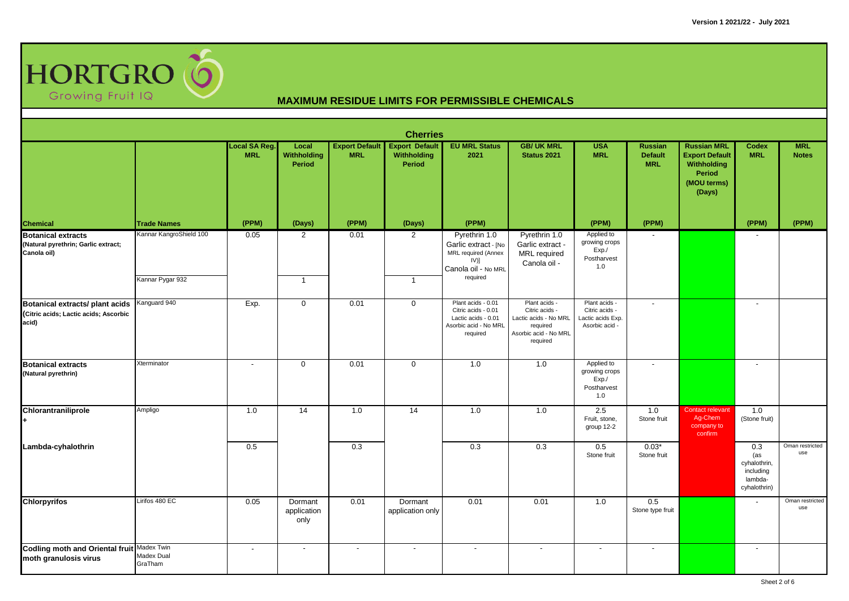

|                                                                                   |                                             |                             |                                       |                                     | <b>Cherries</b>                                |                                                                                                           |                                                                                                           |                                                                        |                                                |                                                                                                      |                                                                    |                            |
|-----------------------------------------------------------------------------------|---------------------------------------------|-----------------------------|---------------------------------------|-------------------------------------|------------------------------------------------|-----------------------------------------------------------------------------------------------------------|-----------------------------------------------------------------------------------------------------------|------------------------------------------------------------------------|------------------------------------------------|------------------------------------------------------------------------------------------------------|--------------------------------------------------------------------|----------------------------|
|                                                                                   |                                             | Local SA Reg.<br><b>MRL</b> | Local<br>Withholding<br><b>Period</b> | <b>Export Default</b><br><b>MRL</b> | <b>Export Default</b><br>Withholding<br>Period | <b>EU MRL Status</b><br>2021                                                                              | <b>GB/ UK MRL</b><br>Status 2021                                                                          | <b>USA</b><br><b>MRL</b>                                               | <b>Russian</b><br><b>Default</b><br><b>MRL</b> | <b>Russian MRL</b><br><b>Export Default</b><br>Withholding<br><b>Period</b><br>(MOU terms)<br>(Days) | <b>Codex</b><br><b>MRL</b>                                         | <b>MRL</b><br><b>Notes</b> |
| <b>Chemical</b>                                                                   | <b>Trade Names</b>                          | (PPM)                       | (Days)                                | (PPM)                               | (Days)                                         | (PPM)                                                                                                     |                                                                                                           | (PPM)                                                                  | (PPM)                                          |                                                                                                      | (PPM)                                                              | (PPM)                      |
| <b>Botanical extracts</b><br>(Natural pyrethrin; Garlic extract;<br>Canola oil)   | Kannar KangroShield 100<br>Kannar Pygar 932 | 0.05                        | $\overline{2}$<br>$\mathbf{1}$        | 0.01                                | $\overline{2}$<br>$\mathbf{1}$                 | Pyrethrin 1.0<br>Garlic extract - [No<br>MRL required (Annex<br>[V(1)]<br>Canola oil - No MRL<br>required | Pyrethrin 1.0<br>Garlic extract -<br>MRL required<br>Canola oil -                                         | Applied to<br>growing crops<br>Exp./<br>Postharvest<br>1.0             |                                                |                                                                                                      |                                                                    |                            |
| Botanical extracts/ plant acids<br>(Citric acids; Lactic acids; Ascorbic<br>acid) | Kanguard 940                                | Exp.                        | $\mathbf 0$                           | 0.01                                | $\mathbf 0$                                    | Plant acids - 0.01<br>Citric acids - 0.01<br>Lactic acids - 0.01<br>Asorbic acid - No MRL<br>required     | Plant acids -<br>Citric acids -<br>Lactic acids - No MRL<br>required<br>Asorbic acid - No MRL<br>required | Plant acids -<br>Citric acids -<br>Lactic acids Exp.<br>Asorbic acid - | $\blacksquare$                                 |                                                                                                      | $\overline{\phantom{a}}$                                           |                            |
| <b>Botanical extracts</b><br>(Natural pyrethrin)                                  | Xterminator                                 | $\blacksquare$              | $\mathbf 0$                           | 0.01                                | $\mathbf 0$                                    | 1.0                                                                                                       | 1.0                                                                                                       | Applied to<br>growing crops<br>Exp./<br>Postharvest<br>1.0             | $\overline{\phantom{a}}$                       |                                                                                                      | $\overline{\phantom{a}}$                                           |                            |
| Chlorantraniliprole                                                               | Ampligo                                     | 1.0                         | $\overline{14}$                       | 1.0                                 | $\overline{14}$                                | $1.0$                                                                                                     | $1.0$                                                                                                     | 2.5<br>Fruit, stone,<br>group 12-2                                     | 1.0<br>Stone fruit                             | <b>Contact relevant</b><br>Ag-Chem<br>company to<br>confirm                                          | 1.0<br>(Stone fruit)                                               |                            |
| Lambda-cyhalothrin                                                                |                                             | 0.5                         |                                       | 0.3                                 |                                                | 0.3                                                                                                       | 0.3                                                                                                       | 0.5<br>Stone fruit                                                     | $0.03*$<br>Stone fruit                         |                                                                                                      | 0.3<br>(as<br>cyhalothrin,<br>including<br>lambda-<br>cyhalothrin) | Oman restricted<br>use     |
| <b>Chlorpyrifos</b>                                                               | Lirifos 480 EC                              | 0.05                        | Dormant<br>application<br>only        | 0.01                                | Dormant<br>application only                    | 0.01                                                                                                      | 0.01                                                                                                      | 1.0                                                                    | 0.5<br>Stone type fruit                        |                                                                                                      | $\overline{a}$                                                     | Oman restricted<br>use     |
| Codling moth and Oriental fruit Madex Twin<br>moth granulosis virus               | Madex Dual<br>GraTham                       | $\overline{a}$              | $\overline{\phantom{a}}$              | $\blacksquare$                      | $\overline{\phantom{a}}$                       | $\overline{\phantom{a}}$                                                                                  | $\overline{\phantom{a}}$                                                                                  | $\overline{\phantom{a}}$                                               | $\blacksquare$                                 |                                                                                                      | $\overline{a}$                                                     |                            |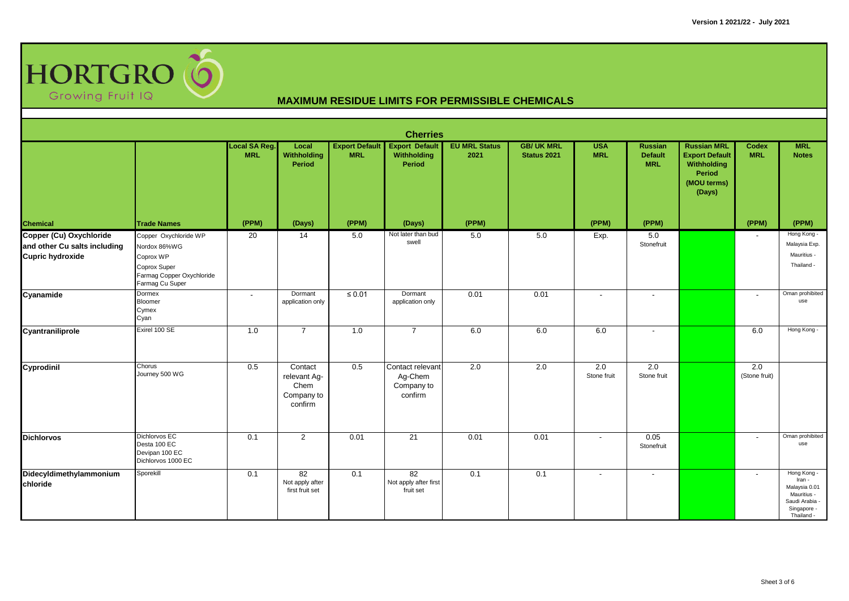

|                                                                                    | <b>Cherries</b>                                                                                                    |                             |                                                          |                                     |                                                       |                              |                                  |                          |                                                |                                                                                               |                            |                                                                                                      |  |  |
|------------------------------------------------------------------------------------|--------------------------------------------------------------------------------------------------------------------|-----------------------------|----------------------------------------------------------|-------------------------------------|-------------------------------------------------------|------------------------------|----------------------------------|--------------------------|------------------------------------------------|-----------------------------------------------------------------------------------------------|----------------------------|------------------------------------------------------------------------------------------------------|--|--|
|                                                                                    |                                                                                                                    | Local SA Reg.<br><b>MRL</b> | Local<br>Withholding<br>Period                           | <b>Export Default</b><br><b>MRL</b> | <b>Export Default</b><br>Withholding<br>Period        | <b>EU MRL Status</b><br>2021 | <b>GB/ UK MRL</b><br>Status 2021 | <b>USA</b><br><b>MRL</b> | <b>Russian</b><br><b>Default</b><br><b>MRL</b> | <b>Russian MRL</b><br><b>Export Default</b><br>Withholding<br>Period<br>(MOU terms)<br>(Days) | <b>Codex</b><br><b>MRL</b> | <b>MRL</b><br><b>Notes</b>                                                                           |  |  |
| <b>Chemical</b>                                                                    | <b>Trade Names</b>                                                                                                 | (PPM)                       | (Days)                                                   | (PPM)                               | (Days)                                                | (PPM)                        |                                  | (PPM)                    | (PPM)                                          |                                                                                               | (PPM)                      | (PPM)                                                                                                |  |  |
| Copper (Cu) Oxychloride<br>and other Cu salts including<br><b>Cupric hydroxide</b> | Copper Oxychloride WP<br>Nordox 86%WG<br>Coprox WP<br>Coprox Super<br>Farmag Copper Oxychloride<br>Farmag Cu Super | 20                          | 14                                                       | 5.0                                 | Not later than bud<br>swell                           | 5.0                          | 5.0                              | Exp.                     | 5.0<br>Stonefruit                              |                                                                                               | $\overline{a}$             | Hong Kong -<br>Malaysia Exp.<br>Mauritius -<br>Thailand -                                            |  |  |
| Cyanamide                                                                          | Dormex<br>Bloomer<br>Cymex<br>Cyan                                                                                 | $\overline{\phantom{a}}$    | Dormant<br>application only                              | $\leq 0.01$                         | Dormant<br>application only                           | 0.01                         | 0.01                             | $\blacksquare$           | $\overline{\phantom{a}}$                       |                                                                                               | $\blacksquare$             | Oman prohibited<br>use                                                                               |  |  |
| Cyantraniliprole                                                                   | Exirel 100 SE                                                                                                      | 1.0                         | $\overline{7}$                                           | 1.0                                 | $\overline{7}$                                        | 6.0                          | 6.0                              | 6.0                      | $\sim$                                         |                                                                                               | 6.0                        | Hong Kong -                                                                                          |  |  |
| Cyprodinil                                                                         | Chorus<br>Journey 500 WG                                                                                           | 0.5                         | Contact<br>relevant Ag-<br>Chem<br>Company to<br>confirm | 0.5                                 | Contact relevant<br>Ag-Chem<br>Company to<br>confirm  | 2.0                          | 2.0                              | 2.0<br>Stone fruit       | 2.0<br>Stone fruit                             |                                                                                               | 2.0<br>(Stone fruit)       |                                                                                                      |  |  |
| <b>Dichlorvos</b>                                                                  | Dichlorvos EC<br>Desta 100 EC<br>Devipan 100 EC<br>Dichlorvos 1000 EC                                              | 0.1                         | 2                                                        | 0.01                                | 21                                                    | 0.01                         | 0.01                             | $\blacksquare$           | 0.05<br>Stonefruit                             |                                                                                               | $\blacksquare$             | Oman prohibited<br>use                                                                               |  |  |
| Didecyldimethylammonium<br>chloride                                                | Sporekill                                                                                                          | 0.1                         | $\overline{82}$<br>Not apply after<br>first fruit set    | 0.1                                 | $\overline{82}$<br>Not apply after first<br>fruit set | 0.1                          | 0.1                              | $\overline{\phantom{a}}$ | $\overline{\phantom{a}}$                       |                                                                                               | $\overline{\phantom{a}}$   | Hong Kong -<br>Iran -<br>Malaysia 0.01<br>Mauritius -<br>Saudi Arabia -<br>Singapore -<br>Thailand - |  |  |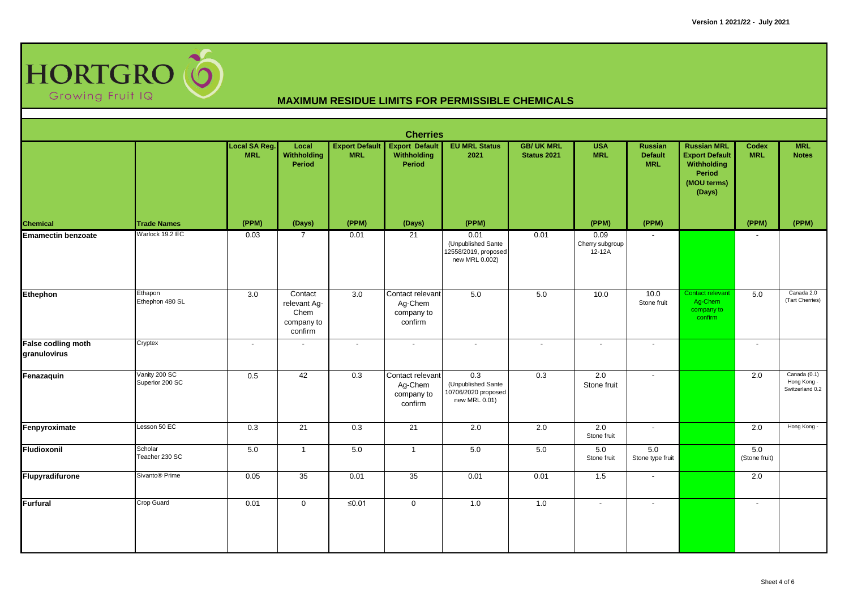

|                                    | <b>Cherries</b>                  |                             |                                                          |                |                                                               |                                                                      |                                  |                                   |                                                |                                                                                               |                            |                                                |  |  |
|------------------------------------|----------------------------------|-----------------------------|----------------------------------------------------------|----------------|---------------------------------------------------------------|----------------------------------------------------------------------|----------------------------------|-----------------------------------|------------------------------------------------|-----------------------------------------------------------------------------------------------|----------------------------|------------------------------------------------|--|--|
|                                    |                                  | Local SA Reg.<br><b>MRL</b> | Local<br>Withholding<br>Period                           | <b>MRL</b>     | <b>Export Default Export Default</b><br>Withholding<br>Period | <b>EU MRL Status</b><br>2021                                         | <b>GB/ UK MRL</b><br>Status 2021 | <b>USA</b><br><b>MRL</b>          | <b>Russian</b><br><b>Default</b><br><b>MRL</b> | <b>Russian MRL</b><br><b>Export Default</b><br>Withholding<br>Period<br>(MOU terms)<br>(Days) | <b>Codex</b><br><b>MRL</b> | <b>MRL</b><br><b>Notes</b>                     |  |  |
| <b>Chemical</b>                    | <b>Trade Names</b>               | (PPM)                       | (Days)                                                   | (PPM)          | (Days)                                                        | (PPM)                                                                |                                  | (PPM)                             | (PPM)                                          |                                                                                               | (PPM)                      | (PPM)                                          |  |  |
| <b>Emamectin benzoate</b>          | Warlock 19.2 EC                  | 0.03                        | $\overline{7}$                                           | 0.01           | 21                                                            | 0.01<br>(Unpublished Sante<br>12558/2019, proposed<br>new MRL 0.002) | 0.01                             | 0.09<br>Cherry subgroup<br>12-12A | $\overline{\phantom{a}}$                       |                                                                                               | $\blacksquare$             |                                                |  |  |
| Ethephon                           | Ethapon<br>Ethephon 480 SL       | 3.0                         | Contact<br>relevant Ag-<br>Chem<br>company to<br>confirm | 3.0            | Contact relevant<br>Ag-Chem<br>company to<br>confirm          | 5.0                                                                  | 5.0                              | 10.0                              | 10.0<br>Stone fruit                            | <b>Contact relevant</b><br>Ag-Chem<br>company to<br>confirm                                   | 5.0                        | Canada 2.0<br>(Tart Cherries)                  |  |  |
| False codling moth<br>granulovirus | Cryptex                          | $\overline{\phantom{a}}$    |                                                          | $\overline{a}$ | $\sim$                                                        | $\sim$                                                               | $\blacksquare$                   | $\blacksquare$                    | $\overline{a}$                                 |                                                                                               | $\sim$                     |                                                |  |  |
| Fenazaquin                         | Vanity 200 SC<br>Superior 200 SC | 0.5                         | 42                                                       | 0.3            | Contact relevant<br>Ag-Chem<br>company to<br>confirm          | 0.3<br>(Unpublished Sante<br>10706/2020 proposed<br>new MRL 0.01)    | 0.3                              | 2.0<br>Stone fruit                | $\overline{\phantom{a}}$                       |                                                                                               | 2.0                        | Canada (0.1)<br>Hong Kong -<br>Switzerland 0.2 |  |  |
| Fenpyroximate                      | Lesson 50 EC                     | 0.3                         | 21                                                       | 0.3            | 21                                                            | 2.0                                                                  | 2.0                              | 2.0<br>Stone fruit                | $\overline{\phantom{a}}$                       |                                                                                               | 2.0                        | Hong Kong -                                    |  |  |
| Fludioxonil                        | Scholar<br>Teacher 230 SC        | 5.0                         | $\mathbf{1}$                                             | $5.0\,$        | $\mathbf{1}$                                                  | $5.0\,$                                                              | 5.0                              | 5.0<br>Stone fruit                | 5.0<br>Stone type fruit                        |                                                                                               | 5.0<br>(Stone fruit)       |                                                |  |  |
| Flupyradifurone                    | Sivanto <sup>®</sup> Prime       | 0.05                        | 35                                                       | 0.01           | 35                                                            | 0.01                                                                 | 0.01                             | 1.5                               | $\sim$                                         |                                                                                               | 2.0                        |                                                |  |  |
| <b>Furfural</b>                    | Crop Guard                       | 0.01                        | $\mathbf 0$                                              | $≤0.01$        | $\mathbf 0$                                                   | 1.0                                                                  | 1.0                              | $\overline{\phantom{a}}$          |                                                |                                                                                               | $\overline{\phantom{a}}$   |                                                |  |  |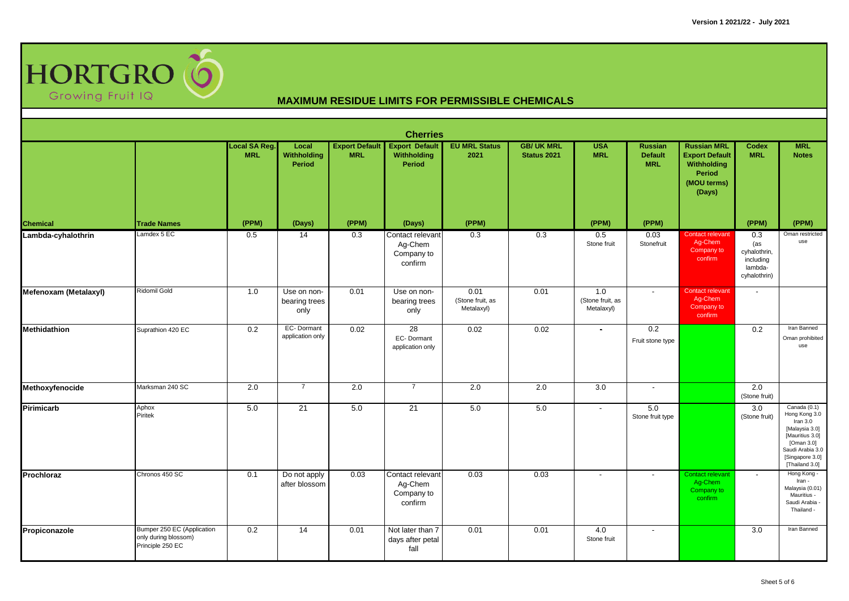

|                       |                                                                        |                                    |                                      |                                     | <b>Cherries</b>                                      |                                        |                                  |                                       |                                                |                                                                                               |                                                                    |                                                                                                                                                         |
|-----------------------|------------------------------------------------------------------------|------------------------------------|--------------------------------------|-------------------------------------|------------------------------------------------------|----------------------------------------|----------------------------------|---------------------------------------|------------------------------------------------|-----------------------------------------------------------------------------------------------|--------------------------------------------------------------------|---------------------------------------------------------------------------------------------------------------------------------------------------------|
|                       |                                                                        | <b>Local SA Reg.</b><br><b>MRL</b> | Local<br>Withholding<br>Period       | <b>Export Default</b><br><b>MRL</b> | <b>Export Default</b><br>Withholding<br>Period       | <b>EU MRL Status</b><br>2021           | <b>GB/ UK MRL</b><br>Status 2021 | <b>USA</b><br><b>MRL</b>              | <b>Russian</b><br><b>Default</b><br><b>MRL</b> | <b>Russian MRL</b><br><b>Export Default</b><br>Withholding<br>Period<br>(MOU terms)<br>(Days) | <b>Codex</b><br><b>MRL</b>                                         | <b>MRL</b><br><b>Notes</b>                                                                                                                              |
| <b>Chemical</b>       | <b>Trade Names</b>                                                     | (PPM)                              | (Days)                               | (PPM)                               | (Days)                                               | (PPM)                                  |                                  | (PPM)                                 | (PPM)                                          |                                                                                               | (PPM)                                                              | (PPM)                                                                                                                                                   |
| Lambda-cyhalothrin    | Lamdex 5 EC                                                            | 0.5                                | 14                                   | 0.3                                 | Contact relevant<br>Ag-Chem<br>Company to<br>confirm | 0.3                                    | 0.3                              | 0.5<br>Stone fruit                    | 0.03<br>Stonefruit                             | <b>Contact relevant</b><br>Ag-Chem<br>Company to<br>confirm                                   | 0.3<br>(as<br>cyhalothrin,<br>including<br>lambda-<br>cyhalothrin) | Oman restricted<br>use                                                                                                                                  |
| Mefenoxam (Metalaxyl) | Ridomil Gold                                                           | 1.0                                | Use on non-<br>bearing trees<br>only | 0.01                                | Use on non-<br>bearing trees<br>only                 | 0.01<br>(Stone fruit, as<br>Metalaxyl) | 0.01                             | 1.0<br>(Stone fruit, as<br>Metalaxyl) | $\overline{\phantom{a}}$                       | <b>Contact relevant</b><br>Ag-Chem<br>Company to<br>confirm                                   |                                                                    |                                                                                                                                                         |
| Methidathion          | Suprathion 420 EC                                                      | 0.2                                | EC-Dormant<br>application only       | 0.02                                | 28<br>EC-Dormant<br>application only                 | 0.02                                   | 0.02                             | $\blacksquare$                        | 0.2<br>Fruit stone type                        |                                                                                               | 0.2                                                                | Iran Banned<br>Oman prohibited<br>use                                                                                                                   |
| Methoxyfenocide       | Marksman 240 SC                                                        | 2.0                                | $\overline{7}$                       | 2.0                                 | $\overline{7}$                                       | $\overline{2.0}$                       | 2.0                              | $\overline{3.0}$                      | $\blacksquare$                                 |                                                                                               | $\overline{2.0}$<br>(Stone fruit)                                  |                                                                                                                                                         |
| Pirimicarb            | Aphox<br>Piritek                                                       | 5.0                                | $\overline{21}$                      | 5.0                                 | $\overline{21}$                                      | 5.0                                    | 5.0                              | $\blacksquare$                        | 5.0<br>Stone fruit type                        |                                                                                               | 3.0<br>(Stone fruit)                                               | Canada (0.1)<br>Hong Kong 3.0<br>Iran $3.0$<br>[Malaysia 3.0]<br>[Mauritius 3.0]<br>[Oman 3.0]<br>Saudi Arabia 3.0<br>[Singapore 3.0]<br>[Thailand 3.0] |
| Prochloraz            | Chronos 450 SC                                                         | 0.1                                | Do not apply<br>after blossom        | 0.03                                | Contact relevant<br>Ag-Chem<br>Company to<br>confirm | 0.03                                   | 0.03                             | $\overline{\phantom{a}}$              | $\overline{\phantom{a}}$                       | <b>Contact relevant</b><br>Ag-Chem<br>Company to<br>confirm                                   | $\sim$                                                             | Hong Kong -<br>Iran -<br>Malaysia (0.01)<br>Mauritius -<br>Saudi Arabia<br>Thailand -                                                                   |
| Propiconazole         | Bumper 250 EC (Application<br>only during blossom)<br>Principle 250 EC | 0.2                                | $\overline{14}$                      | 0.01                                | Not later than 7<br>days after petal<br>fall         | 0.01                                   | 0.01                             | 4.0<br>Stone fruit                    | $\sim$                                         |                                                                                               | 3.0                                                                | Iran Banned                                                                                                                                             |